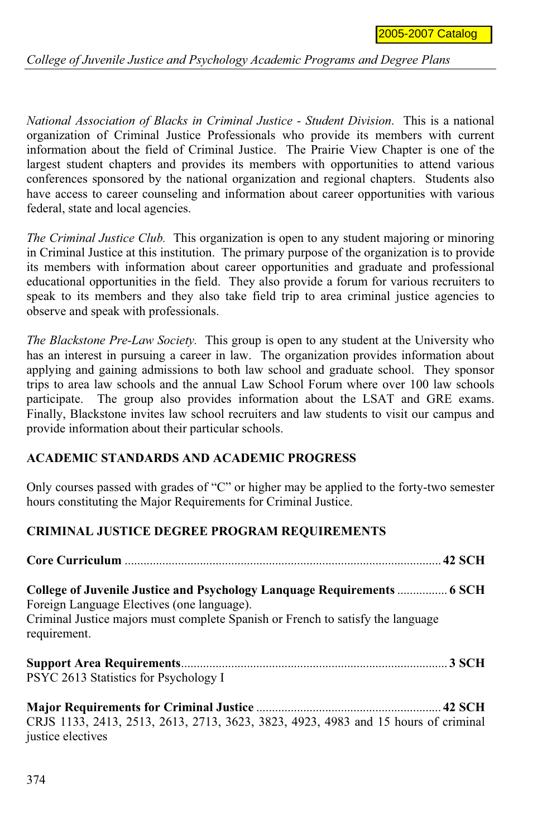*College of Juvenile Justice and Psychology Academic Programs and Degree Plans*

*National Association of Blacks in Criminal Justice - Student Division*. This is a national organization of Criminal Justice Professionals who provide its members with current information about the field of Criminal Justice. The Prairie View Chapter is one of the largest student chapters and provides its members with opportunities to attend various conferences sponsored by the national organization and regional chapters. Students also have access to career counseling and information about career opportunities with various federal, state and local agencies.

*The Criminal Justice Club.* This organization is open to any student majoring or minoring in Criminal Justice at this institution. The primary purpose of the organization is to provide its members with information about career opportunities and graduate and professional educational opportunities in the field. They also provide a forum for various recruiters to speak to its members and they also take field trip to area criminal justice agencies to observe and speak with professionals.

*The Blackstone Pre-Law Society.* This group is open to any student at the University who has an interest in pursuing a career in law. The organization provides information about applying and gaining admissions to both law school and graduate school. They sponsor trips to area law schools and the annual Law School Forum where over 100 law schools participate. The group also provides information about the LSAT and GRE exams. Finally, Blackstone invites law school recruiters and law students to visit our campus and provide information about their particular schools.

## **ACADEMIC STANDARDS AND ACADEMIC PROGRESS**

Only courses passed with grades of "C" or higher may be applied to the forty-two semester hours constituting the Major Requirements for Criminal Justice.

## **CRIMINAL JUSTICE DEGREE PROGRAM REQUIREMENTS**

| College of Juvenile Justice and Psychology Language Requirements  6 SCH<br>Foreign Language Electives (one language).<br>Criminal Justice majors must complete Spanish or French to satisfy the language<br>requirement. |  |
|--------------------------------------------------------------------------------------------------------------------------------------------------------------------------------------------------------------------------|--|
| PSYC 2613 Statistics for Psychology I                                                                                                                                                                                    |  |
| CRJS 1133, 2413, 2513, 2613, 2713, 3623, 3823, 4923, 4983 and 15 hours of criminal<br>justice electives                                                                                                                  |  |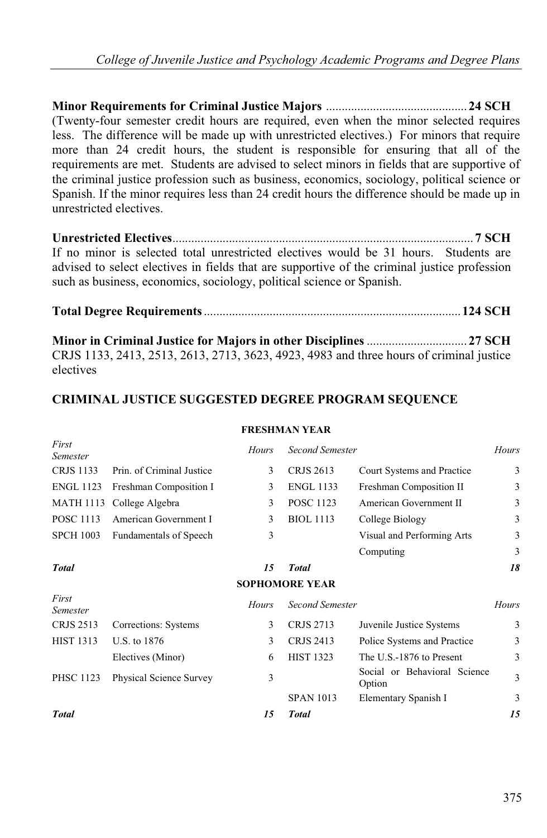**Minor Requirements for Criminal Justice Majors** ............................................. **24 SCH**  (Twenty-four semester credit hours are required, even when the minor selected requires less. The difference will be made up with unrestricted electives.) For minors that require more than 24 credit hours, the student is responsible for ensuring that all of the requirements are met. Students are advised to select minors in fields that are supportive of the criminal justice profession such as business, economics, sociology, political science or Spanish. If the minor requires less than 24 credit hours the difference should be made up in unrestricted electives.

**Unrestricted Electives**................................................................................................ **7 SCH**  If no minor is selected total unrestricted electives would be 31 hours. Students are advised to select electives in fields that are supportive of the criminal justice profession such as business, economics, sociology, political science or Spanish.

**Total Degree Requirements**..................................................................................**124 SCH**

**Minor in Criminal Justice for Majors in other Disciplines**................................ **27 SCH** CRJS 1133, 2413, 2513, 2613, 2713, 3623, 4923, 4983 and three hours of criminal justice electives

# **CRIMINAL JUSTICE SUGGESTED DEGREE PROGRAM SEQUENCE**

#### **FRESHMAN YEAR**

| First<br>Semester        |                               | <b>Hours</b> | <b>Second Semester</b> |                                        | Hours |
|--------------------------|-------------------------------|--------------|------------------------|----------------------------------------|-------|
| <b>CRJS 1133</b>         | Prin. of Criminal Justice     | 3            | <b>CRJS 2613</b>       | Court Systems and Practice             | 3     |
| <b>ENGL 1123</b>         | Freshman Composition I        | 3            | <b>ENGL 1133</b>       | Freshman Composition II                | 3     |
| MATH 1113                | College Algebra               | 3            | <b>POSC 1123</b>       | American Government II                 | 3     |
| <b>POSC 1113</b>         | American Government I         | 3            | <b>BIOL</b> 1113       | College Biology                        | 3     |
| <b>SPCH 1003</b>         | <b>Fundamentals of Speech</b> | 3            |                        | Visual and Performing Arts             | 3     |
|                          |                               |              |                        | Computing                              | 3     |
| <b>Total</b>             |                               | 15           | <b>Total</b>           |                                        | 18    |
|                          |                               |              | <b>SOPHOMORE YEAR</b>  |                                        |       |
| First<br><b>Semester</b> |                               | <b>Hours</b> | <b>Second Semester</b> |                                        | Hours |
| <b>CRJS 2513</b>         | Corrections: Systems          | 3            | <b>CRJS 2713</b>       | Juvenile Justice Systems               | 3     |
| <b>HIST 1313</b>         | U.S. to 1876                  | 3            | <b>CRJS 2413</b>       | Police Systems and Practice            | 3     |
|                          | Electives (Minor)             | 6            | <b>HIST 1323</b>       | The U.S.-1876 to Present               | 3     |
| <b>PHSC 1123</b>         | Physical Science Survey       | 3            |                        | Social or Behavioral Science<br>Option | 3     |
|                          |                               |              | <b>SPAN 1013</b>       | Elementary Spanish I                   | 3     |
| <b>Total</b>             |                               | 15           | <b>Total</b>           |                                        | 15    |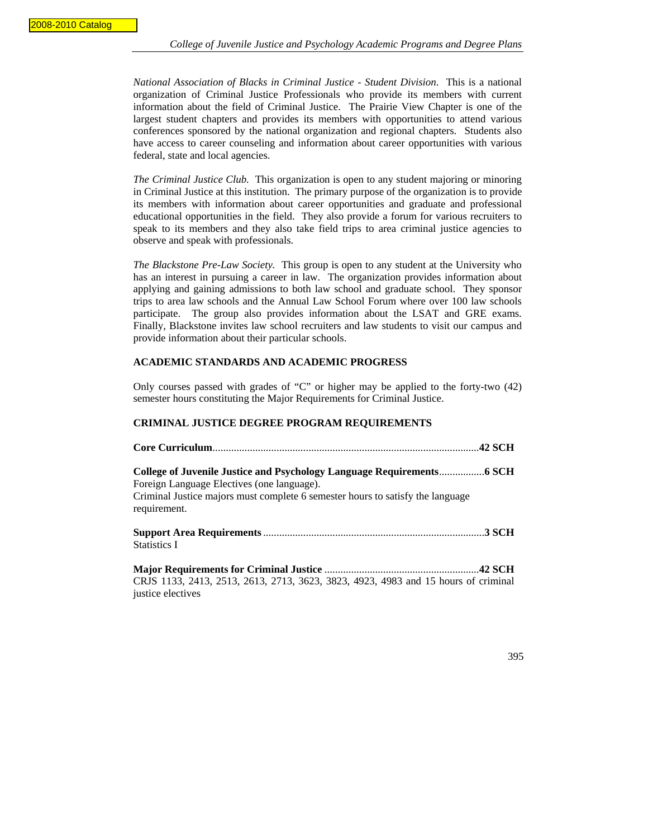*National Association of Blacks in Criminal Justice - Student Division*. This is a national organization of Criminal Justice Professionals who provide its members with current information about the field of Criminal Justice. The Prairie View Chapter is one of the largest student chapters and provides its members with opportunities to attend various conferences sponsored by the national organization and regional chapters. Students also have access to career counseling and information about career opportunities with various federal, state and local agencies.

*The Criminal Justice Club.* This organization is open to any student majoring or minoring in Criminal Justice at this institution. The primary purpose of the organization is to provide its members with information about career opportunities and graduate and professional educational opportunities in the field. They also provide a forum for various recruiters to speak to its members and they also take field trips to area criminal justice agencies to observe and speak with professionals.

*The Blackstone Pre-Law Society.* This group is open to any student at the University who has an interest in pursuing a career in law. The organization provides information about applying and gaining admissions to both law school and graduate school. They sponsor trips to area law schools and the Annual Law School Forum where over 100 law schools participate. The group also provides information about the LSAT and GRE exams. Finally, Blackstone invites law school recruiters and law students to visit our campus and provide information about their particular schools.

#### **ACADEMIC STANDARDS AND ACADEMIC PROGRESS**

Only courses passed with grades of "C" or higher may be applied to the forty-two (42) semester hours constituting the Major Requirements for Criminal Justice.

#### **CRIMINAL JUSTICE DEGREE PROGRAM REQUIREMENTS**

| Foreign Language Electives (one language).<br>Criminal Justice majors must complete 6 semester hours to satisfy the language<br>requirement. |  |
|----------------------------------------------------------------------------------------------------------------------------------------------|--|
| <b>Statistics I</b>                                                                                                                          |  |
| CRJS 1133, 2413, 2513, 2613, 2713, 3623, 3823, 4923, 4983 and 15 hours of criminal<br>justice electives                                      |  |